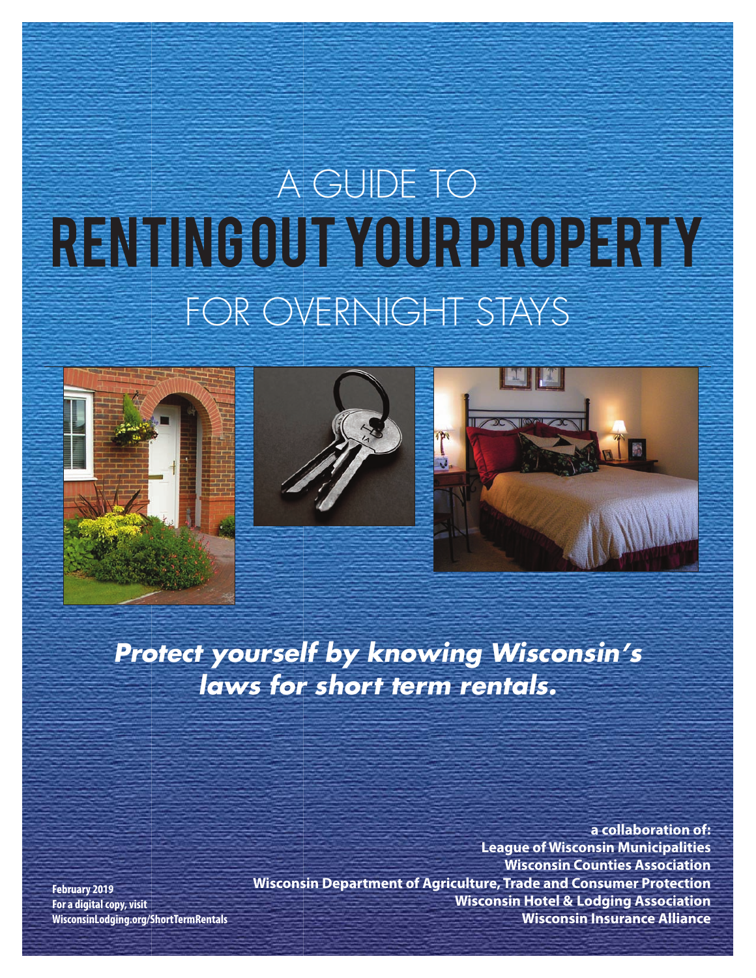# RENTING OUR YOUR PROPERTY A GUIDE TO FOR OVERNIGHT STAYS







### *Protect yourself by knowing Wisconsin's laws for short term rentals.*

**February 2019 For a digital copy, visit WisconsinLodging.org/ShortTermRentals**

**a collaboration of: League of Wisconsin Municipalities Wisconsin Counties Association Wisconsin Department of Agriculture, Trade and Consumer Protection Wisconsin Hotel & Lodging Association Wisconsin Insurance Alliance**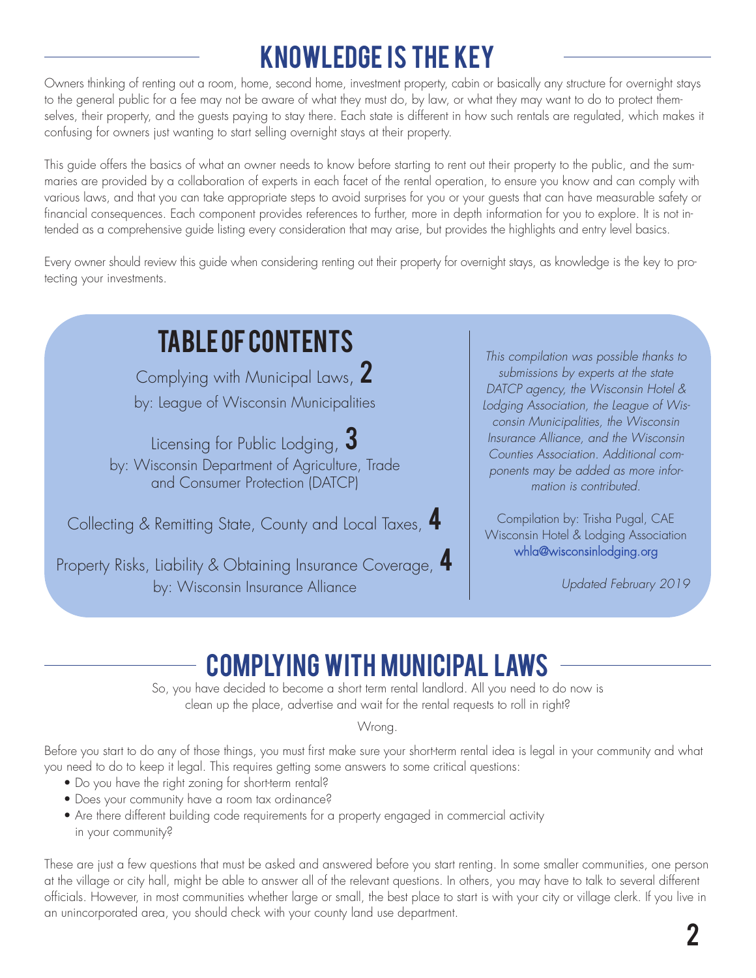# KNOWLEDGE IS THE KEY

Owners thinking of renting out a room, home, second home, investment property, cabin or basically any structure for overnight stays to the general public for a fee may not be aware of what they must do, by law, or what they may want to do to protect themselves, their property, and the guests paying to stay there. Each state is different in how such rentals are regulated, which makes it confusing for owners just wanting to start selling overnight stays at their property.

This guide offers the basics of what an owner needs to know before starting to rent out their property to the public, and the summaries are provided by a collaboration of experts in each facet of the rental operation, to ensure you know and can comply with various laws, and that you can take appropriate steps to avoid surprises for you or your guests that can have measurable safety or financial consequences. Each component provides references to further, more in depth information for you to explore. It is not intended as a comprehensive guide listing every consideration that may arise, but provides the highlights and entry level basics.

Every owner should review this guide when considering renting out their property for overnight stays, as knowledge is the key to protecting your investments.

### table of contents

Complying with Municipal Laws, Z by: League of Wisconsin Municipalities

Licensing for Public Lodging,  $3$ by: Wisconsin Department of Agriculture, Trade and Consumer Protection (DATCP)

Collecting & Remitting State, County and Local Taxes, 4

Property Risks, Liability & Obtaining Insurance Coverage, 4 by: Wisconsin Insurance Alliance

*This compilation was possible thanks to submissions by experts at the state DATCP agency, the Wisconsin Hotel & Lodging Association, the League of Wisconsin Municipalities, the Wisconsin Insurance Alliance, and the Wisconsin Counties Association. Additional components may be added as more information is contributed.* 

Compilation by: Trisha Pugal, CAE Wisconsin Hotel & Lodging Association [whla@wisconsinlodging.org](mailto:whla@wisconsinlodging.org)

*Updated February 2019*

### COMPLYING WITH MUNICIPAL LAWS

So, you have decided to become a short term rental landlord. All you need to do now is clean up the place, advertise and wait for the rental requests to roll in right?

Wrong.

Before you start to do any of those things, you must first make sure your short-term rental idea is legal in your community and what you need to do to keep it legal. This requires getting some answers to some critical questions:

- Do you have the right zoning for short-term rental?
- Does your community have a room tax ordinance?
- Are there different building code requirements for a property engaged in commercial activity in your community?

These are just a few questions that must be asked and answered before you start renting. In some smaller communities, one person at the village or city hall, might be able to answer all of the relevant questions. In others, you may have to talk to several different officials. However, in most communities whether large or small, the best place to start is with your city or village clerk. If you live in an unincorporated area, you should check with your county land use department.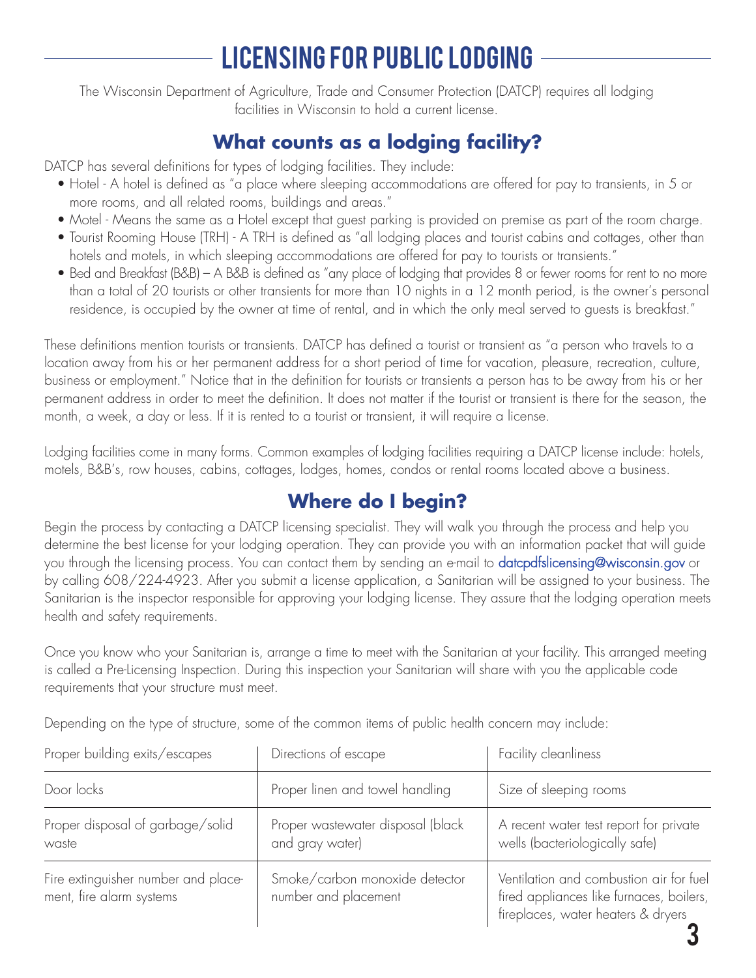### Licensing for public lodging

The Wisconsin Department of Agriculture, Trade and Consumer Protection (DATCP) requires all lodging facilities in Wisconsin to hold a current license.

### **What counts as a lodging facility?**

DATCP has several definitions for types of lodging facilities. They include:

- Hotel A hotel is defined as "a place where sleeping accommodations are offered for pay to transients, in 5 or more rooms, and all related rooms, buildings and areas."
- Motel Means the same as a Hotel except that guest parking is provided on premise as part of the room charge.
- Tourist Rooming House (TRH) A TRH is defined as "all lodging places and tourist cabins and cottages, other than hotels and motels, in which sleeping accommodations are offered for pay to tourists or transients."
- Bed and Breakfast (B&B) A B&B is defined as "any place of lodging that provides 8 or fewer rooms for rent to no more than a total of 20 tourists or other transients for more than 10 nights in a 12 month period, is the owner's personal residence, is occupied by the owner at time of rental, and in which the only meal served to guests is breakfast."

These definitions mention tourists or transients. DATCP has defined a tourist or transient as "a person who travels to a location away from his or her permanent address for a short period of time for vacation, pleasure, recreation, culture, business or employment." Notice that in the definition for tourists or transients a person has to be away from his or her permanent address in order to meet the definition. It does not matter if the tourist or transient is there for the season, the month, a week, a day or less. If it is rented to a tourist or transient, it will require a license.

Lodging facilities come in many forms. Common examples of lodging facilities requiring a DATCP license include: hotels, motels, B&B's, row houses, cabins, cottages, lodges, homes, condos or rental rooms located above a business.

#### **Where do I begin?**

Begin the process by contacting a DATCP licensing specialist. They will walk you through the process and help you determine the best license for your lodging operation. They can provide you with an information packet that will guide you through the licensing process. You can contact them by sending an e-mail to [datcpdfslicensing@wisconsin.gov](mailto:datcpdfslicensing@wisconsin.gov) or by calling 608/224-4923. After you submit a license application, a Sanitarian will be assigned to your business. The Sanitarian is the inspector responsible for approving your lodging license. They assure that the lodging operation meets health and safety requirements.

Once you know who your Sanitarian is, arrange a time to meet with the Sanitarian at your facility. This arranged meeting is called a Pre-Licensing Inspection. During this inspection your Sanitarian will share with you the applicable code requirements that your structure must meet.

Depending on the type of structure, some of the common items of public health concern may include:

| Proper building exits/escapes                                   | Directions of escape                                   | Facility cleanliness                                                                                                      |
|-----------------------------------------------------------------|--------------------------------------------------------|---------------------------------------------------------------------------------------------------------------------------|
| Door locks                                                      | Proper linen and towel handling                        | Size of sleeping rooms                                                                                                    |
| Proper disposal of garbage/solid<br>waste                       | Proper wastewater disposal (black<br>and gray water)   | A recent water test report for private<br>wells (bacteriologically safe)                                                  |
| Fire extinguisher number and place-<br>ment, fire alarm systems | Smoke/carbon monoxide detector<br>number and placement | Ventilation and combustion air for fuel<br>fired appliances like furnaces, boilers,<br>fireplaces, water heaters & dryers |